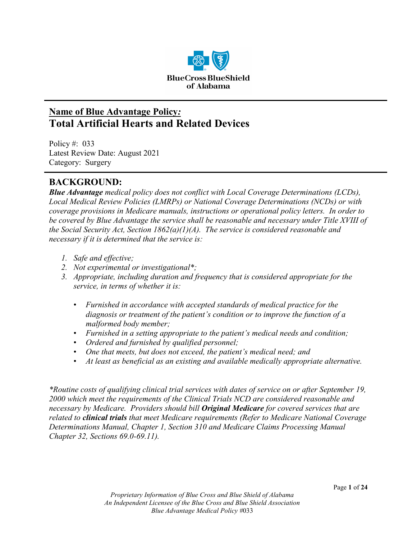

# **Name of Blue Advantage Policy***:* **Total Artificial Hearts and Related Devices**

Policy #: 033 Latest Review Date: August 2021 Category: Surgery

# **BACKGROUND:**

*Blue Advantage medical policy does not conflict with Local Coverage Determinations (LCDs), Local Medical Review Policies (LMRPs) or National Coverage Determinations (NCDs) or with coverage provisions in Medicare manuals, instructions or operational policy letters. In order to be covered by Blue Advantage the service shall be reasonable and necessary under Title XVIII of the Social Security Act, Section 1862(a)(1)(A). The service is considered reasonable and necessary if it is determined that the service is:*

- *1. Safe and effective;*
- *2. Not experimental or investigational\*;*
- *3. Appropriate, including duration and frequency that is considered appropriate for the service, in terms of whether it is:*
	- *Furnished in accordance with accepted standards of medical practice for the diagnosis or treatment of the patient's condition or to improve the function of a malformed body member;*
	- *Furnished in a setting appropriate to the patient's medical needs and condition;*
	- *Ordered and furnished by qualified personnel;*
	- *One that meets, but does not exceed, the patient's medical need; and*
	- *At least as beneficial as an existing and available medically appropriate alternative.*

*\*Routine costs of qualifying clinical trial services with dates of service on or after September 19, 2000 which meet the requirements of the Clinical Trials NCD are considered reasonable and necessary by Medicare. Providers should bill Original Medicare for covered services that are related to clinical trials that meet Medicare requirements (Refer to Medicare National Coverage Determinations Manual, Chapter 1, Section 310 and Medicare Claims Processing Manual Chapter 32, Sections 69.0-69.11).*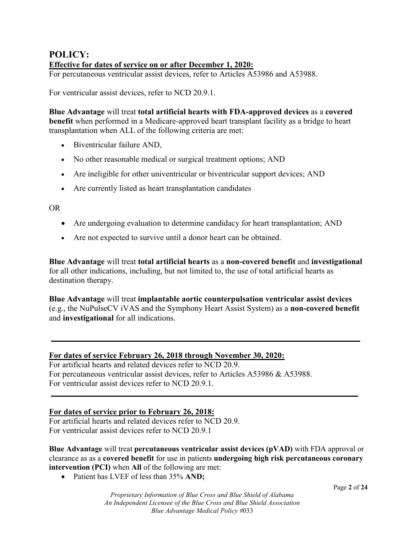# **POLICY: Effective for dates of service on or after December 1, 2020:**

For percutaneous ventricular assist devices, refer to Articles A53986 and A53988.

For ventricular assist devices, refer to NCD 20.9.1.

**Blue Advantage** will treat **total artificial hearts with FDA-approved devices** as a **covered benefit** when performed in a Medicare-approved heart transplant facility as a bridge to heart transplantation when ALL of the following criteria are met:

- Biventricular failure AND,
- No other reasonable medical or surgical treatment options; AND
- Are ineligible for other univentricular or biventricular support devices; AND
- Are currently listed as heart transplantation candidates

OR

- Are undergoing evaluation to determine candidacy for heart transplantation; AND
- Are not expected to survive until a donor heart can be obtained.

**Blue Advantage** will treat **total artificial hearts** as a **non-covered benefit** and **investigational** for all other indications, including, but not limited to, the use of total artificial hearts as destination therapy.

**Blue Advantage** will treat **implantable aortic counterpulsation ventricular assist devices** (e.g., the NuPulseCV iVAS and the Symphony Heart Assist System) as a **non-covered benefit** and **investigational** for all indications.

#### **For dates of service February 26, 2018 through November 30, 2020:**

For artificial hearts and related devices refer to NCD 20.9. For percutaneous ventricular assist devices, refer to Articles A53986 & A53988. For ventricular assist devices refer to NCD 20.9.1.

#### **For dates of service prior to February 26, 2018:**

For artificial hearts and related devices refer to NCD 20.9. For ventricular assist devices refer to NCD 20.9.1

**Blue Advantage** will treat **percutaneous ventricular assist devices (pVAD)** with FDA approval or clearance as as a **covered benefit** for use in patients **undergoing high risk percutaneous coronary intervention (PCI)** when **All** of the following are met:

• Patient has LVEF of less than 35% **AND;**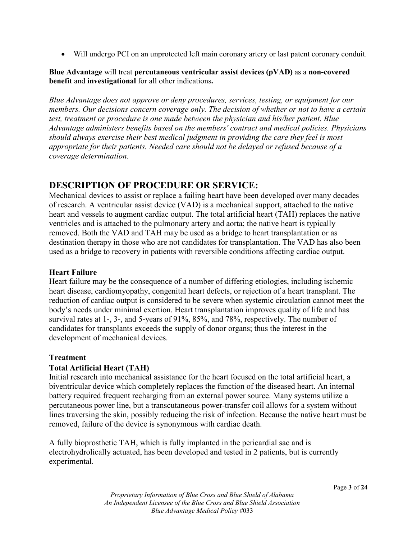• Will undergo PCI on an unprotected left main coronary artery or last patent coronary conduit.

#### **Blue Advantage** will treat **percutaneous ventricular assist devices (pVAD)** as a **non-covered benefit** and **investigational** for all other indications**.**

*Blue Advantage does not approve or deny procedures, services, testing, or equipment for our members. Our decisions concern coverage only. The decision of whether or not to have a certain test, treatment or procedure is one made between the physician and his/her patient. Blue Advantage administers benefits based on the members' contract and medical policies. Physicians should always exercise their best medical judgment in providing the care they feel is most appropriate for their patients. Needed care should not be delayed or refused because of a coverage determination.* 

# **DESCRIPTION OF PROCEDURE OR SERVICE:**

Mechanical devices to assist or replace a failing heart have been developed over many decades of research. A ventricular assist device (VAD) is a mechanical support, attached to the native heart and vessels to augment cardiac output. The total artificial heart (TAH) replaces the native ventricles and is attached to the pulmonary artery and aorta; the native heart is typically removed. Both the VAD and TAH may be used as a bridge to heart transplantation or as destination therapy in those who are not candidates for transplantation. The VAD has also been used as a bridge to recovery in patients with reversible conditions affecting cardiac output.

#### **Heart Failure**

Heart failure may be the consequence of a number of differing etiologies, including ischemic heart disease, cardiomyopathy, congenital heart defects, or rejection of a heart transplant. The reduction of cardiac output is considered to be severe when systemic circulation cannot meet the body's needs under minimal exertion. Heart transplantation improves quality of life and has survival rates at 1-, 3-, and 5-years of 91%, 85%, and 78%, respectively. The number of candidates for transplants exceeds the supply of donor organs; thus the interest in the development of mechanical devices.

#### **Treatment**

#### **Total Artificial Heart (TAH)**

Initial research into mechanical assistance for the heart focused on the total artificial heart, a biventricular device which completely replaces the function of the diseased heart. An internal battery required frequent recharging from an external power source. Many systems utilize a percutaneous power line, but a transcutaneous power-transfer coil allows for a system without lines traversing the skin, possibly reducing the risk of infection. Because the native heart must be removed, failure of the device is synonymous with cardiac death.

A fully bioprosthetic TAH, which is fully implanted in the pericardial sac and is electrohydrolically actuated, has been developed and tested in 2 patients, but is currently experimental.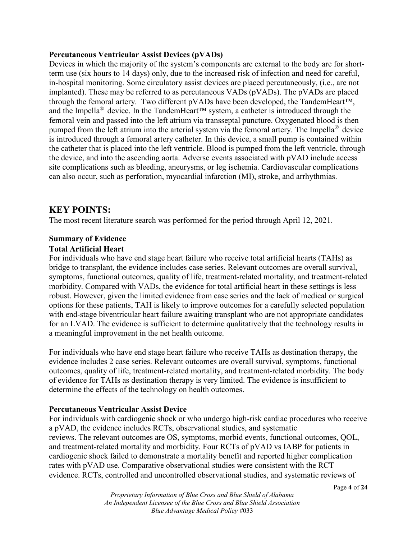#### **Percutaneous Ventricular Assist Devices (pVADs)**

Devices in which the majority of the system's components are external to the body are for shortterm use (six hours to 14 days) only, due to the increased risk of infection and need for careful, in-hospital monitoring. Some circulatory assist devices are placed percutaneously, (i.e., are not implanted). These may be referred to as percutaneous VADs (pVADs). The pVADs are placed through the femoral artery. Two different pVADs have been developed, the TandemHeart™, and the Impella<sup>®</sup> device. In the TandemHeart<sup>™</sup> system, a catheter is introduced through the femoral vein and passed into the left atrium via transseptal puncture. Oxygenated blood is then pumped from the left atrium into the arterial system via the femoral artery. The Impella® device is introduced through a femoral artery catheter. In this device, a small pump is contained within the catheter that is placed into the left ventricle. Blood is pumped from the left ventricle, through the device, and into the ascending aorta. Adverse events associated with pVAD include access site complications such as bleeding, aneurysms, or leg ischemia. Cardiovascular complications can also occur, such as perforation, myocardial infarction (MI), stroke, and arrhythmias.

## **KEY POINTS:**

The most recent literature search was performed for the period through April 12, 2021.

# **Summary of Evidence**

#### **Total Artificial Heart**

For individuals who have end stage heart failure who receive total artificial hearts (TAHs) as bridge to transplant, the evidence includes case series. Relevant outcomes are overall survival, symptoms, functional outcomes, quality of life, treatment-related mortality, and treatment-related morbidity. Compared with VADs, the evidence for total artificial heart in these settings is less robust. However, given the limited evidence from case series and the lack of medical or surgical options for these patients, TAH is likely to improve outcomes for a carefully selected population with end-stage biventricular heart failure awaiting transplant who are not appropriate candidates for an LVAD. The evidence is sufficient to determine qualitatively that the technology results in a meaningful improvement in the net health outcome.

For individuals who have end stage heart failure who receive TAHs as destination therapy, the evidence includes 2 case series. Relevant outcomes are overall survival, symptoms, functional outcomes, quality of life, treatment-related mortality, and treatment-related morbidity. The body of evidence for TAHs as destination therapy is very limited. The evidence is insufficient to determine the effects of the technology on health outcomes.

#### **Percutaneous Ventricular Assist Device**

For individuals with cardiogenic shock or who undergo high-risk cardiac procedures who receive a pVAD, the evidence includes RCTs, observational studies, and systematic reviews. The relevant outcomes are OS, symptoms, morbid events, functional outcomes, QOL, and treatment-related mortality and morbidity. Four RCTs of pVAD vs IABP for patients in cardiogenic shock failed to demonstrate a mortality benefit and reported higher complication rates with pVAD use. Comparative observational studies were consistent with the RCT evidence. RCTs, controlled and uncontrolled observational studies, and systematic reviews of

*Proprietary Information of Blue Cross and Blue Shield of Alabama An Independent Licensee of the Blue Cross and Blue Shield Association Blue Advantage Medical Policy #*033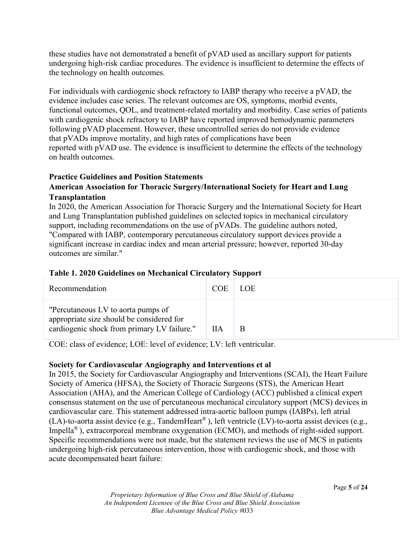these studies have not demonstrated a benefit of pVAD used as ancillary support for patients undergoing high-risk cardiac procedures. The evidence is insufficient to determine the effects of the technology on health outcomes.

For individuals with cardiogenic shock refractory to IABP therapy who receive a pVAD, the evidence includes case series. The relevant outcomes are OS, symptoms, morbid events, functional outcomes, QOL, and treatment-related mortality and morbidity. Case series of patients with cardiogenic shock refractory to IABP have reported improved hemodynamic parameters following pVAD placement. However, these uncontrolled series do not provide evidence that pVADs improve mortality, and high rates of complications have been reported with pVAD use. The evidence is insufficient to determine the effects of the technology on health outcomes.

## **Practice Guidelines and Position Statements**

### **American Association for Thoracic Surgery/International Society for Heart and Lung Transplantation**

In 2020, the American Association for Thoracic Surgery and the International Society for Heart and Lung Transplantation published guidelines on selected topics in mechanical circulatory support, including recommendations on the use of pVADs. The guideline authors noted, "Compared with IABP, contemporary percutaneous circulatory support devices provide a significant increase in cardiac index and mean arterial pressure; however, reported 30-day outcomes are similar."

## **Table 1. 2020 Guidelines on Mechanical Circulatory Support**

| Recommendation                                                                                                                 | <b>COE</b> | LOE. |
|--------------------------------------------------------------------------------------------------------------------------------|------------|------|
| "Percutaneous LV to aorta pumps of<br>appropriate size should be considered for<br>cardiogenic shock from primary LV failure." | ПA         | Β    |

COE: class of evidence; LOE: level of evidence; LV: left ventricular.

## **Society for Cardiovascular Angiography and Interventions et al**

In 2015, the Society for Cardiovascular Angiography and Interventions (SCAI), the Heart Failure Society of America (HFSA), the Society of Thoracic Surgeons (STS), the American Heart Association (AHA), and the American College of Cardiology (ACC) published a clinical expert consensus statement on the use of percutaneous mechanical circulatory support (MCS) devices in cardiovascular care. This statement addressed intra-aortic balloon pumps (IABPs), left atrial (LA)-to-aorta assist device (e.g., TandemHeart<sup>®</sup>), left ventricle (LV)-to-aorta assist devices (e.g., Impella<sup>®</sup>), extracorporeal membrane oxygenation (ECMO), and methods of right-sided support. Specific recommendations were not made, but the statement reviews the use of MCS in patients undergoing high-risk percutaneous intervention, those with cardiogenic shock, and those with acute decompensated heart failure: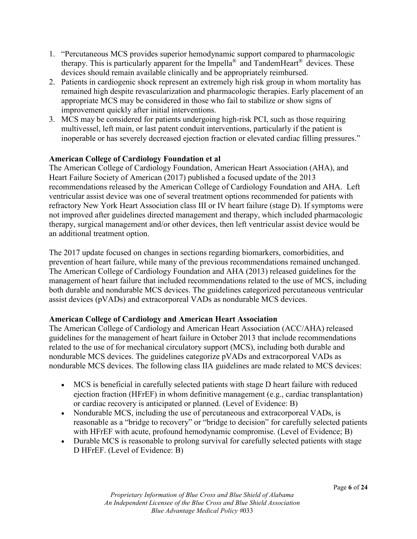- 1. "Percutaneous MCS provides superior hemodynamic support compared to pharmacologic therapy. This is particularly apparent for the Impella<sup>®</sup> and TandemHeart<sup>®</sup> devices. These devices should remain available clinically and be appropriately reimbursed.
- 2. Patients in cardiogenic shock represent an extremely high risk group in whom mortality has remained high despite revascularization and pharmacologic therapies. Early placement of an appropriate MCS may be considered in those who fail to stabilize or show signs of improvement quickly after initial interventions.
- 3. MCS may be considered for patients undergoing high-risk PCI, such as those requiring multivessel, left main, or last patent conduit interventions, particularly if the patient is inoperable or has severely decreased ejection fraction or elevated cardiac filling pressures."

#### **American College of Cardiology Foundation et al**

The American College of Cardiology Foundation, American Heart Association (AHA), and Heart Failure Society of American (2017) published a focused update of the 2013 recommendations released by the American College of Cardiology Foundation and AHA. Left ventricular assist device was one of several treatment options recommended for patients with refractory New York Heart Association class III or IV heart failure (stage D). If symptoms were not improved after guidelines directed management and therapy, which included pharmacologic therapy, surgical management and/or other devices, then left ventricular assist device would be an additional treatment option.

The 2017 update focused on changes in sections regarding biomarkers, comorbidities, and prevention of heart failure, while many of the previous recommendations remained unchanged. The American College of Cardiology Foundation and AHA (2013) released guidelines for the management of heart failure that included recommendations related to the use of MCS, including both durable and nondurable MCS devices. The guidelines categorized percutaneous ventricular assist devices (pVADs) and extracorporeal VADs as nondurable MCS devices.

#### **American College of Cardiology and American Heart Association**

The American College of Cardiology and American Heart Association (ACC/AHA) released guidelines for the management of heart failure in October 2013 that include recommendations related to the use of for mechanical circulatory support (MCS), including both durable and nondurable MCS devices. The guidelines categorize pVADs and extracorporeal VADs as nondurable MCS devices. The following class IIA guidelines are made related to MCS devices:

- MCS is beneficial in carefully selected patients with stage D heart failure with reduced ejection fraction (HFrEF) in whom definitive management (e.g., cardiac transplantation) or cardiac recovery is anticipated or planned. (Level of Evidence: B)
- Nondurable MCS, including the use of percutaneous and extracorporeal VADs, is reasonable as a "bridge to recovery" or "bridge to decision" for carefully selected patients with HFrEF with acute, profound hemodynamic compromise. (Level of Evidence; B)
- Durable MCS is reasonable to prolong survival for carefully selected patients with stage D HFrEF. (Level of Evidence: B)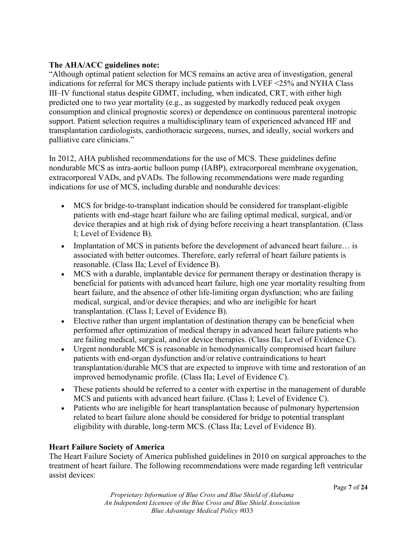#### **The AHA/ACC guidelines note:**

"Although optimal patient selection for MCS remains an active area of investigation, general indications for referral for MCS therapy include patients with LVEF <25% and NYHA Class III–IV functional status despite GDMT, including, when indicated, CRT, with either high predicted one to two year mortality (e.g., as suggested by markedly reduced peak oxygen consumption and clinical prognostic scores) or dependence on continuous parenteral inotropic support. Patient selection requires a multidisciplinary team of experienced advanced HF and transplantation cardiologists, cardiothoracic surgeons, nurses, and ideally, social workers and palliative care clinicians."

In 2012, AHA published recommendations for the use of MCS. These guidelines define nondurable MCS as intra-aortic balloon pump (IABP), extracorporeal membrane oxygenation, extracorporeal VADs, and pVADs. The following recommendations were made regarding indications for use of MCS, including durable and nondurable devices:

- MCS for bridge-to-transplant indication should be considered for transplant-eligible patients with end-stage heart failure who are failing optimal medical, surgical, and/or device therapies and at high risk of dying before receiving a heart transplantation. (Class I; Level of Evidence B).
- Implantation of MCS in patients before the development of advanced heart failure... is associated with better outcomes. Therefore, early referral of heart failure patients is reasonable. (Class IIa; Level of Evidence B).
- MCS with a durable, implantable device for permanent therapy or destination therapy is beneficial for patients with advanced heart failure, high one year mortality resulting from heart failure, and the absence of other life-limiting organ dysfunction; who are failing medical, surgical, and/or device therapies; and who are ineligible for heart transplantation. (Class I; Level of Evidence B).
- Elective rather than urgent implantation of destination therapy can be beneficial when performed after optimization of medical therapy in advanced heart failure patients who are failing medical, surgical, and/or device therapies. (Class IIa; Level of Evidence C).
- Urgent nondurable MCS is reasonable in hemodynamically compromised heart failure patients with end-organ dysfunction and/or relative contraindications to heart transplantation/durable MCS that are expected to improve with time and restoration of an improved hemodynamic profile. (Class IIa; Level of Evidence C).
- These patients should be referred to a center with expertise in the management of durable MCS and patients with advanced heart failure. (Class I; Level of Evidence C).
- Patients who are ineligible for heart transplantation because of pulmonary hypertension related to heart failure alone should be considered for bridge to potential transplant eligibility with durable, long-term MCS. (Class IIa; Level of Evidence B).

## **Heart Failure Society of America**

The Heart Failure Society of America published guidelines in 2010 on surgical approaches to the treatment of heart failure. The following recommendations were made regarding left ventricular assist devices: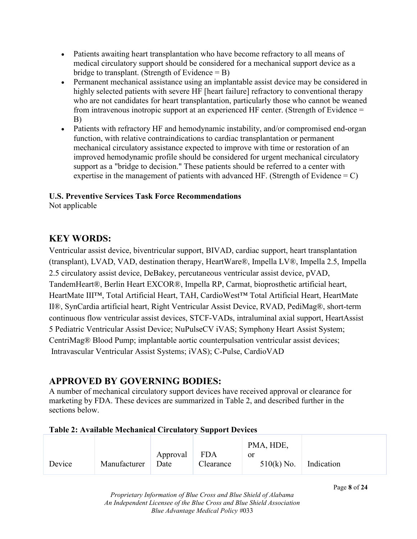- Patients awaiting heart transplantation who have become refractory to all means of medical circulatory support should be considered for a mechanical support device as a bridge to transplant. (Strength of Evidence  $=$  B)
- Permanent mechanical assistance using an implantable assist device may be considered in highly selected patients with severe HF [heart failure] refractory to conventional therapy who are not candidates for heart transplantation, particularly those who cannot be weaned from intravenous inotropic support at an experienced HF center. (Strength of Evidence = B)
- Patients with refractory HF and hemodynamic instability, and/or compromised end-organ function, with relative contraindications to cardiac transplantation or permanent mechanical circulatory assistance expected to improve with time or restoration of an improved hemodynamic profile should be considered for urgent mechanical circulatory support as a "bridge to decision." These patients should be referred to a center with expertise in the management of patients with advanced HF. (Strength of Evidence  $= C$ )

# **U.S. Preventive Services Task Force Recommendations**

Not applicable

# **KEY WORDS:**

Ventricular assist device, biventricular support, BIVAD, cardiac support, heart transplantation (transplant), LVAD, VAD, destination therapy, HeartWare®, Impella LV®, Impella 2.5, Impella 2.5 circulatory assist device, DeBakey, percutaneous ventricular assist device, pVAD, TandemHeart®, Berlin Heart EXCOR®, Impella RP, Carmat, bioprosthetic artificial heart, HeartMate III™, Total Artificial Heart, TAH, CardioWest™ Total Artificial Heart, HeartMate II®, SynCardia artificial heart, Right Ventricular Assist Device, RVAD, PediMag®, short-term continuous flow ventricular assist devices, STCF-VADs, intraluminal axial support, HeartAssist 5 Pediatric Ventricular Assist Device; NuPulseCV iVAS; Symphony Heart Assist System; CentriMag® Blood Pump; implantable aortic counterpulsation ventricular assist devices; Intravascular Ventricular Assist Systems; iVAS); C-Pulse, CardioVAD

# **APPROVED BY GOVERNING BODIES:**

A number of mechanical circulatory support devices have received approval or clearance for marketing by FDA. These devices are summarized in Table 2, and described further in the sections below.

## **Table 2: Available Mechanical Circulatory Support Devices**

|        |              |                      |           | PMA, HDE,                       |  |
|--------|--------------|----------------------|-----------|---------------------------------|--|
| Device | Manufacturer | Approval FDA<br>Date | Clearance | or<br>$510(k)$ No.   Indication |  |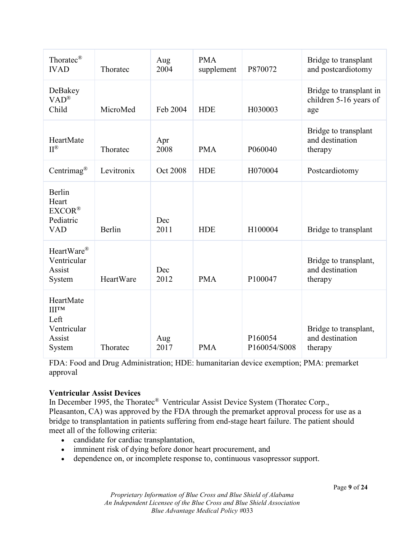| Thoratec <sup>®</sup><br><b>IVAD</b>                             | Thoratec   | Aug<br>2004     | <b>PMA</b><br>supplement | P870072                 | Bridge to transplant<br>and postcardiotomy               |
|------------------------------------------------------------------|------------|-----------------|--------------------------|-------------------------|----------------------------------------------------------|
| DeBakey<br>$VAD^{\circledR}$<br>Child                            | MicroMed   | Feb 2004        | <b>HDE</b>               | H030003                 | Bridge to transplant in<br>children 5-16 years of<br>age |
| HeartMate<br>$II^{\circledR}$                                    | Thoratec   | Apr<br>2008     | <b>PMA</b>               | P060040                 | Bridge to transplant<br>and destination<br>therapy       |
| Centrimag <sup>®</sup>                                           | Levitronix | <b>Oct 2008</b> | <b>HDE</b>               | H070004                 | Postcardiotomy                                           |
| Berlin<br>Heart<br>EXCOR <sup>®</sup><br>Pediatric<br><b>VAD</b> | Berlin     | Dec<br>2011     | <b>HDE</b>               | H100004                 | Bridge to transplant                                     |
| HeartWare®<br>Ventricular<br>Assist<br>System                    | HeartWare  | Dec<br>2012     | <b>PMA</b>               | P100047                 | Bridge to transplant,<br>and destination<br>therapy      |
| HeartMate<br>ШТМ<br>Left<br>Ventricular<br>Assist<br>System      | Thoratec   | Aug<br>2017     | <b>PMA</b>               | P160054<br>P160054/S008 | Bridge to transplant,<br>and destination<br>therapy      |

FDA: Food and Drug Administration; HDE: humanitarian device exemption; PMA: premarket approval

#### **Ventricular Assist Devices**

In December 1995, the Thoratec<sup>®</sup> Ventricular Assist Device System (Thoratec Corp., Pleasanton, CA) was approved by the FDA through the premarket approval process for use as a bridge to transplantation in patients suffering from end-stage heart failure. The patient should meet all of the following criteria:

- candidate for cardiac transplantation,
- imminent risk of dying before donor heart procurement, and
- dependence on, or incomplete response to, continuous vasopressor support.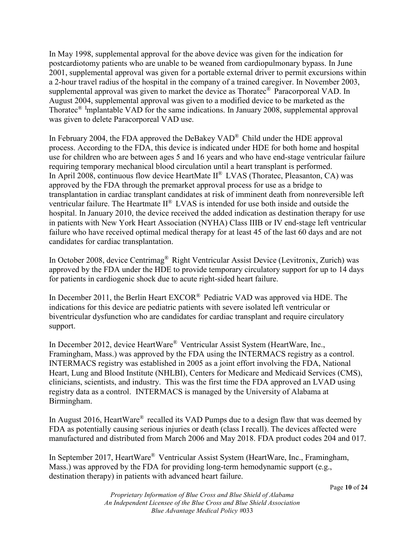In May 1998, supplemental approval for the above device was given for the indication for postcardiotomy patients who are unable to be weaned from cardiopulmonary bypass. In June 2001, supplemental approval was given for a portable external driver to permit excursions within a 2-hour travel radius of the hospital in the company of a trained caregiver. In November 2003, supplemental approval was given to market the device as Thoratec® Paracorporeal VAD. In August 2004, supplemental approval was given to a modified device to be marketed as the Thoratec® Implantable VAD for the same indications. In January 2008, supplemental approval was given to delete Paracorporeal VAD use.

In February 2004, the FDA approved the DeBakey VAD® Child under the HDE approval process. According to the FDA, this device is indicated under HDE for both home and hospital use for children who are between ages 5 and 16 years and who have end-stage ventricular failure requiring temporary mechanical blood circulation until a heart transplant is performed. In April 2008, continuous flow device HeartMate II® LVAS (Thoratec, Pleasanton, CA) was approved by the FDA through the premarket approval process for use as a bridge to transplantation in cardiac transplant candidates at risk of imminent death from nonreversible left ventricular failure. The Heartmate II® LVAS is intended for use both inside and outside the hospital. In January 2010, the device received the added indication as destination therapy for use in patients with New York Heart Association (NYHA) Class IIIB or IV end-stage left ventricular failure who have received optimal medical therapy for at least 45 of the last 60 days and are not candidates for cardiac transplantation.

In October 2008, device Centrimag® Right Ventricular Assist Device (Levitronix, Zurich) was approved by the FDA under the HDE to provide temporary circulatory support for up to 14 days for patients in cardiogenic shock due to acute right-sided heart failure.

In December 2011, the Berlin Heart EXCOR® Pediatric VAD was approved via HDE. The indications for this device are pediatric patients with severe isolated left ventricular or biventricular dysfunction who are candidates for cardiac transplant and require circulatory support.

In December 2012, device HeartWare® Ventricular Assist System (HeartWare, Inc., Framingham, Mass.) was approved by the FDA using the INTERMACS registry as a control. INTERMACS registry was established in 2005 as a joint effort involving the FDA, National Heart, Lung and Blood Institute (NHLBI), Centers for Medicare and Medicaid Services (CMS), clinicians, scientists, and industry. This was the first time the FDA approved an LVAD using registry data as a control. INTERMACS is managed by the University of Alabama at Birmingham.

In August 2016, HeartWare<sup>®</sup> recalled its VAD Pumps due to a design flaw that was deemed by FDA as potentially causing serious injuries or death (class I recall). The devices affected were manufactured and distributed from March 2006 and May 2018. FDA product codes 204 and 017.

In September 2017, HeartWare® Ventricular Assist System (HeartWare, Inc., Framingham, Mass.) was approved by the FDA for providing long-term hemodynamic support (e.g., destination therapy) in patients with advanced heart failure.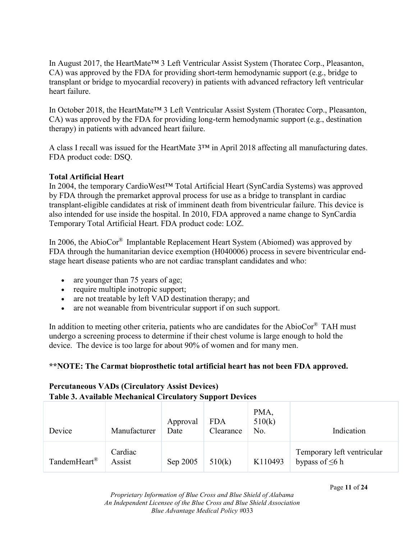In August 2017, the HeartMate™ 3 Left Ventricular Assist System (Thoratec Corp., Pleasanton, CA) was approved by the FDA for providing short-term hemodynamic support (e.g., bridge to transplant or bridge to myocardial recovery) in patients with advanced refractory left ventricular heart failure.

In October 2018, the HeartMate™ 3 Left Ventricular Assist System (Thoratec Corp., Pleasanton, CA) was approved by the FDA for providing long-term hemodynamic support (e.g., destination therapy) in patients with advanced heart failure.

A class I recall was issued for the HeartMate 3™ in April 2018 affecting all manufacturing dates. FDA product code: DSQ.

#### **Total Artificial Heart**

In 2004, the temporary CardioWest™ Total Artificial Heart (SynCardia Systems) was approved by FDA through the premarket approval process for use as a bridge to transplant in cardiac transplant-eligible candidates at risk of imminent death from biventricular failure. This device is also intended for use inside the hospital. In 2010, FDA approved a name change to SynCardia Temporary Total Artificial Heart. FDA product code: LOZ.

In 2006, the AbioCor® Implantable Replacement Heart System (Abiomed) was approved by FDA through the humanitarian device exemption (H040006) process in severe biventricular endstage heart disease patients who are not cardiac transplant candidates and who:

- are younger than 75 years of age;
- require multiple inotropic support;
- are not treatable by left VAD destination therapy; and
- are not weanable from biventricular support if on such support.

In addition to meeting other criteria, patients who are candidates for the AbioCor $^{\circ}$  TAH must undergo a screening process to determine if their chest volume is large enough to hold the device. The device is too large for about 90% of women and for many men.

#### **\*\*NOTE: The Carmat bioprosthetic total artificial heart has not been FDA approved.**

## **Percutaneous VADs (Circulatory Assist Devices) Table 3. Available Mechanical Circulatory Support Devices**

| Device                   | Manufacturer      | Approval<br>Date | <b>FDA</b><br>Clearance | PMA,<br>510(k)<br>No. | Indication                                         |
|--------------------------|-------------------|------------------|-------------------------|-----------------------|----------------------------------------------------|
| TandemHeart <sup>®</sup> | Cardiac<br>Assist | Sep 2005         | 510(k)                  | K110493               | Temporary left ventricular<br>bypass of $\leq 6$ h |

Page **11** of **24**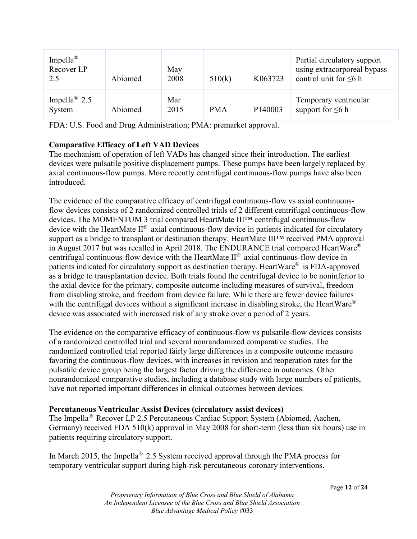| Impella <sup>®</sup><br>Recover LP<br>2.5 | Abiomed | May<br>2008 | 510(k)     | K063723 | Partial circulatory support<br>using extracorporeal bypass<br>control unit for $\leq 6$ h |
|-------------------------------------------|---------|-------------|------------|---------|-------------------------------------------------------------------------------------------|
| Impella <sup>®</sup> 2.5<br>System        | Abiomed | Mar<br>2015 | <b>PMA</b> | P140003 | Temporary ventricular<br>support for $\leq 6$ h                                           |

FDA: U.S. Food and Drug Administration; PMA: premarket approval.

#### **Comparative Efficacy of Left VAD Devices**

The mechanism of operation of left VADs has changed since their introduction. The earliest devices were pulsatile positive displacement pumps. These pumps have been largely replaced by axial continuous-flow pumps. More recently centrifugal continuous-flow pumps have also been introduced.

The evidence of the comparative efficacy of centrifugal continuous-flow vs axial continuousflow devices consists of 2 randomized controlled trials of 2 different centrifugal continuous-flow devices. The MOMENTUM 3 trial compared HeartMate III™ centrifugal continuous-flow device with the HeartMate II® axial continuous-flow device in patients indicated for circulatory support as a bridge to transplant or destination therapy. HeartMate III<sup>TM</sup> received PMA approval in August 2017 but was recalled in April 2018. The ENDURANCE trial compared HeartWare® centrifugal continuous-flow device with the HeartMate  $II^{\mathcal{R}}$  axial continuous-flow device in patients indicated for circulatory support as destination therapy. HeartWare® is FDA-approved as a bridge to transplantation device. Both trials found the centrifugal device to be noninferior to the axial device for the primary, composite outcome including measures of survival, freedom from disabling stroke, and freedom from device failure. While there are fewer device failures with the centrifugal devices without a significant increase in disabling stroke, the HeartWare<sup>®</sup> device was associated with increased risk of any stroke over a period of 2 years.

The evidence on the comparative efficacy of continuous-flow vs pulsatile-flow devices consists of a randomized controlled trial and several nonrandomized comparative studies. The randomized controlled trial reported fairly large differences in a composite outcome measure favoring the continuous-flow devices, with increases in revision and reoperation rates for the pulsatile device group being the largest factor driving the difference in outcomes. Other nonrandomized comparative studies, including a database study with large numbers of patients, have not reported important differences in clinical outcomes between devices.

#### **Percutaneous Ventricular Assist Devices (circulatory assist devices)**

The Impella® Recover LP 2.5 Percutaneous Cardiac Support System (Abiomed, Aachen, Germany) received FDA 510(k) approval in May 2008 for short-term (less than six hours) use in patients requiring circulatory support.

In March 2015, the Impella® 2.5 System received approval through the PMA process for temporary ventricular support during high-risk percutaneous coronary interventions.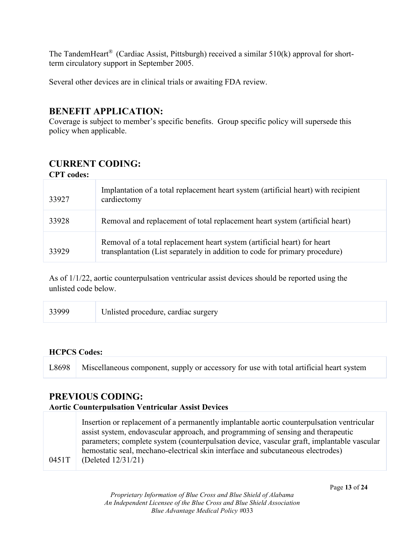The TandemHeart<sup>®</sup> (Cardiac Assist, Pittsburgh) received a similar  $510(k)$  approval for shortterm circulatory support in September 2005.

Several other devices are in clinical trials or awaiting FDA review.

# **BENEFIT APPLICATION:**

Coverage is subject to member's specific benefits. Group specific policy will supersede this policy when applicable.

# **CURRENT CODING:**

| <b>CPT</b> codes: |                                                                                                                                                         |
|-------------------|---------------------------------------------------------------------------------------------------------------------------------------------------------|
| 33927             | Implantation of a total replacement heart system (artificial heart) with recipient<br>cardiectomy                                                       |
| 33928             | Removal and replacement of total replacement heart system (artificial heart)                                                                            |
| 33929             | Removal of a total replacement heart system (artificial heart) for heart<br>transplantation (List separately in addition to code for primary procedure) |

As of 1/1/22, aortic counterpulsation ventricular assist devices should be reported using the unlisted code below.

| 33999 | Unlisted procedure, cardiac surgery |
|-------|-------------------------------------|
|       |                                     |

#### **HCPCS Codes:**

L8698 Miscellaneous component, supply or accessory for use with total artificial heart system

# **PREVIOUS CODING:**

#### **Aortic Counterpulsation Ventricular Assist Devices**

0451T Insertion or replacement of a permanently implantable aortic counterpulsation ventricular assist system, endovascular approach, and programming of sensing and therapeutic parameters; complete system (counterpulsation device, vascular graft, implantable vascular hemostatic seal, mechano-electrical skin interface and subcutaneous electrodes) (Deleted 12/31/21)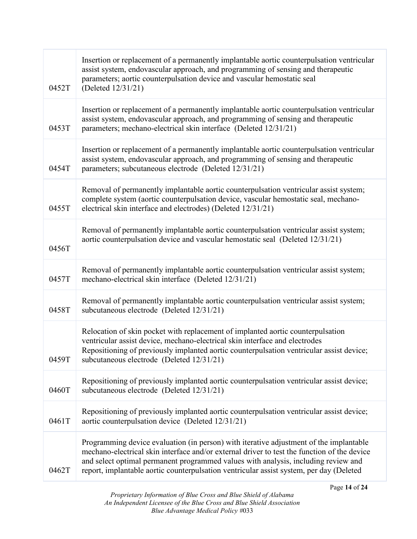| 0452T | Insertion or replacement of a permanently implantable aortic counterpulsation ventricular<br>assist system, endovascular approach, and programming of sensing and therapeutic<br>parameters; aortic counterpulsation device and vascular hemostatic seal<br>(Deleted 12/31/21)                                                                                         |
|-------|------------------------------------------------------------------------------------------------------------------------------------------------------------------------------------------------------------------------------------------------------------------------------------------------------------------------------------------------------------------------|
| 0453T | Insertion or replacement of a permanently implantable aortic counterpulsation ventricular<br>assist system, endovascular approach, and programming of sensing and therapeutic<br>parameters; mechano-electrical skin interface (Deleted 12/31/21)                                                                                                                      |
| 0454T | Insertion or replacement of a permanently implantable aortic counterpulsation ventricular<br>assist system, endovascular approach, and programming of sensing and therapeutic<br>parameters; subcutaneous electrode (Deleted 12/31/21)                                                                                                                                 |
| 0455T | Removal of permanently implantable aortic counterpulsation ventricular assist system;<br>complete system (aortic counterpulsation device, vascular hemostatic seal, mechano-<br>electrical skin interface and electrodes) (Deleted 12/31/21)                                                                                                                           |
| 0456T | Removal of permanently implantable aortic counterpulsation ventricular assist system;<br>aortic counterpulsation device and vascular hemostatic seal (Deleted 12/31/21)                                                                                                                                                                                                |
| 0457T | Removal of permanently implantable aortic counterpulsation ventricular assist system;<br>mechano-electrical skin interface (Deleted 12/31/21)                                                                                                                                                                                                                          |
| 0458T | Removal of permanently implantable aortic counterpulsation ventricular assist system;<br>subcutaneous electrode (Deleted 12/31/21)                                                                                                                                                                                                                                     |
| 0459T | Relocation of skin pocket with replacement of implanted aortic counterpulsation<br>ventricular assist device, mechano-electrical skin interface and electrodes<br>Repositioning of previously implanted aortic counterpulsation ventricular assist device;<br>subcutaneous electrode (Deleted 12/31/21)                                                                |
| 0460T | Repositioning of previously implanted aortic counterpulsation ventricular assist device;<br>subcutaneous electrode (Deleted 12/31/21)                                                                                                                                                                                                                                  |
| 0461T | Repositioning of previously implanted aortic counterpulsation ventricular assist device;<br>aortic counterpulsation device (Deleted 12/31/21)                                                                                                                                                                                                                          |
| 0462T | Programming device evaluation (in person) with iterative adjustment of the implantable<br>mechano-electrical skin interface and/or external driver to test the function of the device<br>and select optimal permanent programmed values with analysis, including review and<br>report, implantable aortic counterpulsation ventricular assist system, per day (Deleted |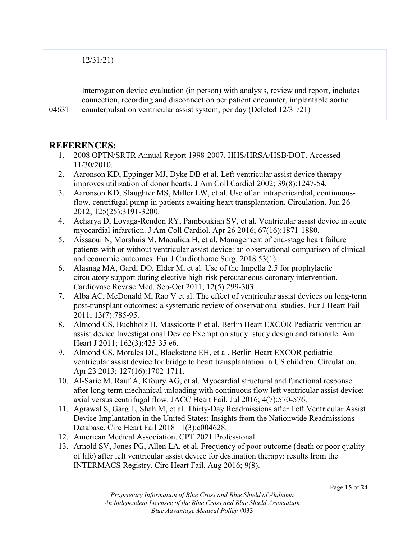|       | 12/31/21                                                                                                                                                                                                                                              |
|-------|-------------------------------------------------------------------------------------------------------------------------------------------------------------------------------------------------------------------------------------------------------|
| 0463T | Interrogation device evaluation (in person) with analysis, review and report, includes<br>connection, recording and disconnection per patient encounter, implantable aortic<br>counterpulsation ventricular assist system, per day (Deleted 12/31/21) |

# **REFERENCES:**

- 1. 2008 OPTN/SRTR Annual Report 1998-2007. HHS/HRSA/HSB/DOT. Accessed 11/30/2010.
- 2. Aaronson KD, Eppinger MJ, Dyke DB et al. Left ventricular assist device therapy improves utilization of donor hearts. J Am Coll Cardiol 2002; 39(8):1247-54.
- 3. Aaronson KD, Slaughter MS, Miller LW, et al. Use of an intrapericardial, continuousflow, centrifugal pump in patients awaiting heart transplantation. Circulation. Jun 26 2012; 125(25):3191-3200.
- 4. Acharya D, Loyaga-Rendon RY, Pamboukian SV, et al. Ventricular assist device in acute myocardial infarction. J Am Coll Cardiol. Apr 26 2016; 67(16):1871-1880.
- 5. Aissaoui N, Morshuis M, Maoulida H, et al. Management of end-stage heart failure patients with or without ventricular assist device: an observational comparison of clinical and economic outcomes. Eur J Cardiothorac Surg. 2018 53(1).
- 6. Alasnag MA, Gardi DO, Elder M, et al. Use of the Impella 2.5 for prophylactic circulatory support during elective high-risk percutaneous coronary intervention. Cardiovasc Revasc Med. Sep-Oct 2011; 12(5):299-303.
- 7. Alba AC, McDonald M, Rao V et al. The effect of ventricular assist devices on long-term post-transplant outcomes: a systematic review of observational studies. Eur J Heart Fail 2011; 13(7):785-95.
- 8. Almond CS, Buchholz H, Massicotte P et al. Berlin Heart EXCOR Pediatric ventricular assist device Investigational Device Exemption study: study design and rationale. Am Heart J 2011; 162(3):425-35 e6.
- 9. Almond CS, Morales DL, Blackstone EH, et al. Berlin Heart EXCOR pediatric ventricular assist device for bridge to heart transplantation in US children. Circulation. Apr 23 2013; 127(16):1702-1711.
- 10. Al-Sarie M, Rauf A, Kfoury AG, et al. Myocardial structural and functional response after long-term mechanical unloading with continuous flow left ventricular assist device: axial versus centrifugal flow. JACC Heart Fail. Jul 2016; 4(7):570-576.
- 11. Agrawal S, Garg L, Shah M, et al. Thirty-Day Readmissions after Left Ventricular Assist Device Implantation in the United States: Insights from the Nationwide Readmissions Database. Circ Heart Fail 2018 11(3):e004628.
- 12. American Medical Association. CPT 2021 Professional.
- 13. Arnold SV, Jones PG, Allen LA, et al. Frequency of poor outcome (death or poor quality of life) after left ventricular assist device for destination therapy: results from the INTERMACS Registry. Circ Heart Fail. Aug 2016; 9(8).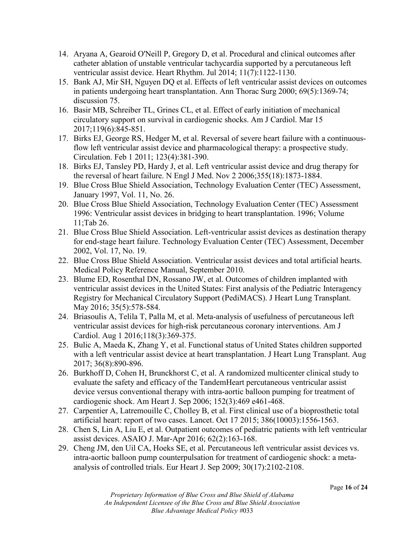- 14. Aryana A, Gearoid O'Neill P, Gregory D, et al. Procedural and clinical outcomes after catheter ablation of unstable ventricular tachycardia supported by a percutaneous left ventricular assist device. Heart Rhythm. Jul 2014; 11(7):1122-1130.
- 15. Bank AJ, Mir SH, Nguyen DQ et al. Effects of left ventricular assist devices on outcomes in patients undergoing heart transplantation. Ann Thorac Surg 2000; 69(5):1369-74; discussion 75.
- 16. Basir MB, Schreiber TL, Grines CL, et al. Effect of early initiation of mechanical circulatory support on survival in cardiogenic shocks. Am J Cardiol. Mar 15 2017;119(6):845-851.
- 17. Birks EJ, George RS, Hedger M, et al. Reversal of severe heart failure with a continuousflow left ventricular assist device and pharmacological therapy: a prospective study. Circulation. Feb 1 2011; 123(4):381-390.
- 18. Birks EJ, Tansley PD, Hardy J, et al. Left ventricular assist device and drug therapy for the reversal of heart failure. N Engl J Med. Nov 2 2006;355(18):1873-1884.
- 19. Blue Cross Blue Shield Association, Technology Evaluation Center (TEC) Assessment, January 1997, Vol. 11, No. 26.
- 20. Blue Cross Blue Shield Association, Technology Evaluation Center (TEC) Assessment 1996: Ventricular assist devices in bridging to heart transplantation. 1996; Volume 11;Tab 26.
- 21. Blue Cross Blue Shield Association. Left-ventricular assist devices as destination therapy for end-stage heart failure. Technology Evaluation Center (TEC) Assessment, December 2002, Vol. 17, No. 19.
- 22. Blue Cross Blue Shield Association. Ventricular assist devices and total artificial hearts. Medical Policy Reference Manual, September 2010.
- 23. Blume ED, Rosenthal DN, Rossano JW, et al. Outcomes of children implanted with ventricular assist devices in the United States: First analysis of the Pediatric Interagency Registry for Mechanical Circulatory Support (PediMACS). J Heart Lung Transplant. May 2016; 35(5):578-584.
- 24. Briasoulis A, Telila T, Palla M, et al. Meta-analysis of usefulness of percutaneous left ventricular assist devices for high-risk percutaneous coronary interventions. Am J Cardiol. Aug 1 2016;118(3):369-375.
- 25. Bulic A, Maeda K, Zhang Y, et al. Functional status of United States children supported with a left ventricular assist device at heart transplantation. J Heart Lung Transplant. Aug 2017; 36(8):890-896.
- 26. Burkhoff D, Cohen H, Brunckhorst C, et al. A randomized multicenter clinical study to evaluate the safety and efficacy of the TandemHeart percutaneous ventricular assist device versus conventional therapy with intra-aortic balloon pumping for treatment of cardiogenic shock. Am Heart J. Sep 2006; 152(3):469 e461-468.
- 27. Carpentier A, Latremouille C, Cholley B, et al. First clinical use of a bioprosthetic total artificial heart: report of two cases. Lancet. Oct 17 2015; 386(10003):1556-1563.
- 28. Chen S, Lin A, Liu E, et al. Outpatient outcomes of pediatric patients with left ventricular assist devices. ASAIO J. Mar-Apr 2016; 62(2):163-168.
- 29. Cheng JM, den Uil CA, Hoeks SE, et al. Percutaneous left ventricular assist devices vs. intra-aortic balloon pump counterpulsation for treatment of cardiogenic shock: a metaanalysis of controlled trials. Eur Heart J. Sep 2009; 30(17):2102-2108.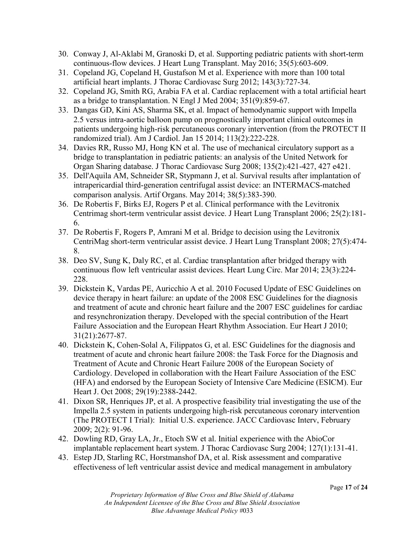- 30. Conway J, Al-Aklabi M, Granoski D, et al. Supporting pediatric patients with short-term continuous-flow devices. J Heart Lung Transplant. May 2016; 35(5):603-609.
- 31. Copeland JG, Copeland H, Gustafson M et al. Experience with more than 100 total artificial heart implants. J Thorac Cardiovasc Surg 2012; 143(3):727-34.
- 32. Copeland JG, Smith RG, Arabia FA et al. Cardiac replacement with a total artificial heart as a bridge to transplantation. N Engl J Med 2004; 351(9):859-67.
- 33. Dangas GD, Kini AS, Sharma SK, et al. Impact of hemodynamic support with Impella 2.5 versus intra-aortic balloon pump on prognostically important clinical outcomes in patients undergoing high-risk percutaneous coronary intervention (from the PROTECT II randomized trial). Am J Cardiol. Jan 15 2014; 113(2):222-228.
- 34. Davies RR, Russo MJ, Hong KN et al. The use of mechanical circulatory support as a bridge to transplantation in pediatric patients: an analysis of the United Network for Organ Sharing database. J Thorac Cardiovasc Surg 2008; 135(2):421-427, 427 e421.
- 35. Dell'Aquila AM, Schneider SR, Stypmann J, et al. Survival results after implantation of intrapericardial third-generation centrifugal assist device: an INTERMACS-matched comparison analysis. Artif Organs. May 2014; 38(5):383-390.
- 36. De Robertis F, Birks EJ, Rogers P et al. Clinical performance with the Levitronix Centrimag short-term ventricular assist device. J Heart Lung Transplant 2006; 25(2):181- 6.
- 37. De Robertis F, Rogers P, Amrani M et al. Bridge to decision using the Levitronix CentriMag short-term ventricular assist device. J Heart Lung Transplant 2008; 27(5):474- 8.
- 38. Deo SV, Sung K, Daly RC, et al. Cardiac transplantation after bridged therapy with continuous flow left ventricular assist devices. Heart Lung Circ. Mar 2014; 23(3):224- 228.
- 39. Dickstein K, Vardas PE, Auricchio A et al. 2010 Focused Update of ESC Guidelines on device therapy in heart failure: an update of the 2008 ESC Guidelines for the diagnosis and treatment of acute and chronic heart failure and the 2007 ESC guidelines for cardiac and resynchronization therapy. Developed with the special contribution of the Heart Failure Association and the European Heart Rhythm Association. Eur Heart J 2010; 31(21):2677-87.
- 40. Dickstein K, Cohen-Solal A, Filippatos G, et al. ESC Guidelines for the diagnosis and treatment of acute and chronic heart failure 2008: the Task Force for the Diagnosis and Treatment of Acute and Chronic Heart Failure 2008 of the European Society of Cardiology. Developed in collaboration with the Heart Failure Association of the ESC (HFA) and endorsed by the European Society of Intensive Care Medicine (ESICM). Eur Heart J. Oct 2008; 29(19):2388-2442.
- 41. Dixon SR, Henriques JP, et al. A prospective feasibility trial investigating the use of the Impella 2.5 system in patients undergoing high-risk percutaneous coronary intervention (The PROTECT I Trial): Initial U.S. experience. JACC Cardiovasc Interv, February 2009; 2(2): 91-96.
- 42. Dowling RD, Gray LA, Jr., Etoch SW et al. Initial experience with the AbioCor implantable replacement heart system. J Thorac Cardiovasc Surg 2004; 127(1):131-41.
- 43. Estep JD, Starling RC, Horstmanshof DA, et al. Risk assessment and comparative effectiveness of left ventricular assist device and medical management in ambulatory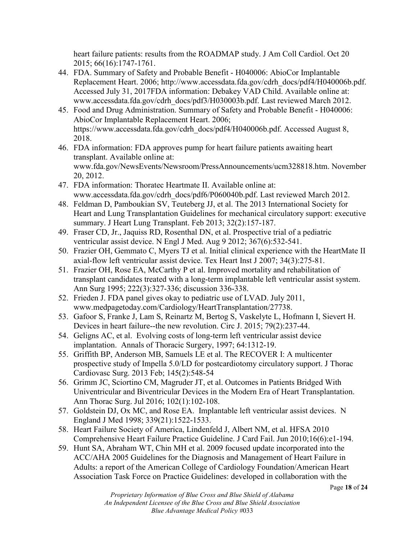heart failure patients: results from the ROADMAP study. J Am Coll Cardiol. Oct 20 2015; 66(16):1747-1761.

- 44. FDA. Summary of Safety and Probable Benefit H040006: AbioCor Implantable Replacement Heart. 2006; http://www.accessdata.fda.gov/cdrh\_docs/pdf4/H040006b.pdf. Accessed July 31, 2017FDA information: Debakey VAD Child. Available online at: www.accessdata.fda.gov/cdrh\_docs/pdf3/H030003b.pdf. Last reviewed March 2012.
- 45. Food and Drug Administration. Summary of Safety and Probable Benefit H040006: AbioCor Implantable Replacement Heart. 2006; https://www.accessdata.fda.gov/cdrh\_docs/pdf4/H040006b.pdf. Accessed August 8, 2018.
- 46. FDA information: FDA approves pump for heart failure patients awaiting heart transplant. Available online at: www.fda.gov/NewsEvents/Newsroom/PressAnnouncements/ucm328818.htm. November 20, 2012.
- 47. FDA information: Thoratec Heartmate II. Available online at: www.accessdata.fda.gov/cdrh\_docs/pdf6/P060040b.pdf. Last reviewed March 2012.
- 48. Feldman D, Pamboukian SV, Teuteberg JJ, et al. The 2013 International Society for Heart and Lung Transplantation Guidelines for mechanical circulatory support: executive summary. J Heart Lung Transplant. Feb 2013; 32(2):157-187.
- 49. Fraser CD, Jr., Jaquiss RD, Rosenthal DN, et al. Prospective trial of a pediatric ventricular assist device. N Engl J Med. Aug 9 2012; 367(6):532-541.
- 50. Frazier OH, Gemmato C, Myers TJ et al. Initial clinical experience with the HeartMate II axial-flow left ventricular assist device. Tex Heart Inst J 2007; 34(3):275-81.
- 51. Frazier OH, Rose EA, McCarthy P et al. Improved mortality and rehabilitation of transplant candidates treated with a long-term implantable left ventricular assist system. Ann Surg 1995; 222(3):327-336; discussion 336-338.
- 52. Frieden J. FDA panel gives okay to pediatric use of LVAD. July 2011, www.medpagetoday.com/Cardiology/HeartTransplantation/27738.
- 53. Gafoor S, Franke J, Lam S, Reinartz M, Bertog S, Vaskelyte L, Hofmann I, Sievert H. Devices in heart failure--the new revolution. Circ J. 2015; 79(2):237-44.
- 54. Geligns AC, et al. Evolving costs of long-term left ventricular assist device implantation. Annals of Thoracic Surgery, 1997; 64:1312-19.
- 55. Griffith BP, Anderson MB, Samuels LE et al. The RECOVER I: A multicenter prospective study of Impella 5.0/LD for postcardiotomy circulatory support. J Thorac Cardiovasc Surg. 2013 Feb; 145(2):548-54
- 56. Grimm JC, Sciortino CM, Magruder JT, et al. Outcomes in Patients Bridged With Univentricular and Biventricular Devices in the Modern Era of Heart Transplantation. Ann Thorac Surg. Jul 2016; 102(1):102-108.
- 57. Goldstein DJ, Ox MC, and Rose EA. Implantable left ventricular assist devices. N England J Med 1998; 339(21):1522-1533.
- 58. Heart Failure Society of America, Lindenfeld J, Albert NM, et al. HFSA 2010 Comprehensive Heart Failure Practice Guideline. J Card Fail. Jun 2010;16(6):e1-194.
- 59. Hunt SA, Abraham WT, Chin MH et al. 2009 focused update incorporated into the ACC/AHA 2005 Guidelines for the Diagnosis and Management of Heart Failure in Adults: a report of the American College of Cardiology Foundation/American Heart Association Task Force on Practice Guidelines: developed in collaboration with the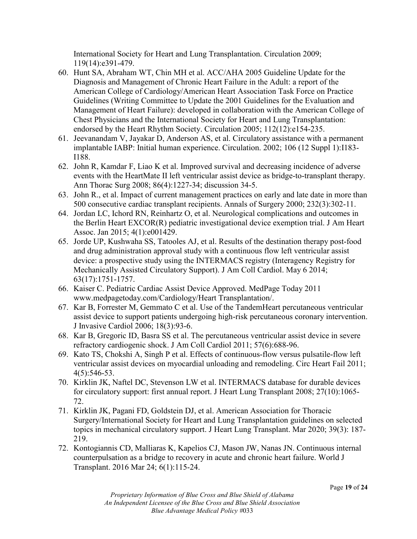International Society for Heart and Lung Transplantation. Circulation 2009; 119(14):e391-479.

- 60. Hunt SA, Abraham WT, Chin MH et al. ACC/AHA 2005 Guideline Update for the Diagnosis and Management of Chronic Heart Failure in the Adult: a report of the American College of Cardiology/American Heart Association Task Force on Practice Guidelines (Writing Committee to Update the 2001 Guidelines for the Evaluation and Management of Heart Failure): developed in collaboration with the American College of Chest Physicians and the International Society for Heart and Lung Transplantation: endorsed by the Heart Rhythm Society. Circulation 2005; 112(12):e154-235.
- 61. Jeevanandam V, Jayakar D, Anderson AS, et al. Circulatory assistance with a permanent implantable IABP: Initial human experience. Circulation. 2002; 106 (12 Suppl 1):I183- I188.
- 62. John R, Kamdar F, Liao K et al. Improved survival and decreasing incidence of adverse events with the HeartMate II left ventricular assist device as bridge-to-transplant therapy. Ann Thorac Surg 2008; 86(4):1227-34; discussion 34-5.
- 63. John R., et al. Impact of current management practices on early and late date in more than 500 consecutive cardiac transplant recipients. Annals of Surgery 2000; 232(3):302-11.
- 64. Jordan LC, Ichord RN, Reinhartz O, et al. Neurological complications and outcomes in the Berlin Heart EXCOR(R) pediatric investigational device exemption trial. J Am Heart Assoc. Jan 2015; 4(1):e001429.
- 65. Jorde UP, Kushwaha SS, Tatooles AJ, et al. Results of the destination therapy post-food and drug administration approval study with a continuous flow left ventricular assist device: a prospective study using the INTERMACS registry (Interagency Registry for Mechanically Assisted Circulatory Support). J Am Coll Cardiol. May 6 2014; 63(17):1751-1757.
- 66. Kaiser C. Pediatric Cardiac Assist Device Approved. MedPage Today 2011 www.medpagetoday.com/Cardiology/Heart Transplantation/.
- 67. Kar B, Forrester M, Gemmato C et al. Use of the TandemHeart percutaneous ventricular assist device to support patients undergoing high-risk percutaneous coronary intervention. J Invasive Cardiol 2006; 18(3):93-6.
- 68. Kar B, Gregoric ID, Basra SS et al. The percutaneous ventricular assist device in severe refractory cardiogenic shock. J Am Coll Cardiol 2011; 57(6):688-96.
- 69. Kato TS, Chokshi A, Singh P et al. Effects of continuous-flow versus pulsatile-flow left ventricular assist devices on myocardial unloading and remodeling. Circ Heart Fail 2011; 4(5):546-53.
- 70. Kirklin JK, Naftel DC, Stevenson LW et al. INTERMACS database for durable devices for circulatory support: first annual report. J Heart Lung Transplant 2008; 27(10):1065- 72.
- 71. Kirklin JK, Pagani FD, Goldstein DJ, et al. American Association for Thoracic Surgery/International Society for Heart and Lung Transplantation guidelines on selected topics in mechanical circulatory support. J Heart Lung Transplant. Mar 2020; 39(3): 187- 219.
- 72. Kontogiannis CD, Malliaras K, Kapelios CJ, Mason JW, Nanas JN. Continuous internal counterpulsation as a bridge to recovery in acute and chronic heart failure. World J Transplant. 2016 Mar 24; 6(1):115-24.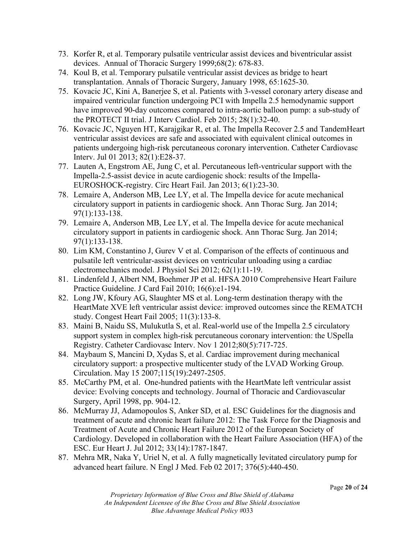- 73. Korfer R, et al. Temporary pulsatile ventricular assist devices and biventricular assist devices. Annual of Thoracic Surgery 1999;68(2): 678-83.
- 74. Koul B, et al. Temporary pulsatile ventricular assist devices as bridge to heart transplantation. Annals of Thoracic Surgery, January 1998, 65:1625-30.
- 75. Kovacic JC, Kini A, Banerjee S, et al. Patients with 3-vessel coronary artery disease and impaired ventricular function undergoing PCI with Impella 2.5 hemodynamic support have improved 90-day outcomes compared to intra-aortic balloon pump: a sub-study of the PROTECT II trial. J Interv Cardiol. Feb 2015; 28(1):32-40.
- 76. Kovacic JC, Nguyen HT, Karajgikar R, et al. The Impella Recover 2.5 and TandemHeart ventricular assist devices are safe and associated with equivalent clinical outcomes in patients undergoing high-risk percutaneous coronary intervention. Catheter Cardiovasc Interv. Jul 01 2013; 82(1):E28-37.
- 77. Lauten A, Engstrom AE, Jung C, et al. Percutaneous left-ventricular support with the Impella-2.5-assist device in acute cardiogenic shock: results of the Impella-EUROSHOCK-registry. Circ Heart Fail. Jan 2013; 6(1):23-30.
- 78. Lemaire A, Anderson MB, Lee LY, et al. The Impella device for acute mechanical circulatory support in patients in cardiogenic shock. Ann Thorac Surg. Jan 2014; 97(1):133-138.
- 79. Lemaire A, Anderson MB, Lee LY, et al. The Impella device for acute mechanical circulatory support in patients in cardiogenic shock. Ann Thorac Surg. Jan 2014; 97(1):133-138.
- 80. Lim KM, Constantino J, Gurev V et al. Comparison of the effects of continuous and pulsatile left ventricular-assist devices on ventricular unloading using a cardiac electromechanics model. J Physiol Sci 2012; 62(1):11-19.
- 81. Lindenfeld J, Albert NM, Boehmer JP et al. HFSA 2010 Comprehensive Heart Failure Practice Guideline. J Card Fail 2010; 16(6):e1-194.
- 82. Long JW, Kfoury AG, Slaughter MS et al. Long-term destination therapy with the HeartMate XVE left ventricular assist device: improved outcomes since the REMATCH study. Congest Heart Fail 2005; 11(3):133-8.
- 83. Maini B, Naidu SS, Mulukutla S, et al. Real-world use of the Impella 2.5 circulatory support system in complex high-risk percutaneous coronary intervention: the USpella Registry. Catheter Cardiovasc Interv. Nov 1 2012;80(5):717-725.
- 84. Maybaum S, Mancini D, Xydas S, et al. Cardiac improvement during mechanical circulatory support: a prospective multicenter study of the LVAD Working Group. Circulation. May 15 2007;115(19):2497-2505.
- 85. McCarthy PM, et al. One-hundred patients with the HeartMate left ventricular assist device: Evolving concepts and technology. Journal of Thoracic and Cardiovascular Surgery, April 1998, pp. 904-12.
- 86. McMurray JJ, Adamopoulos S, Anker SD, et al. ESC Guidelines for the diagnosis and treatment of acute and chronic heart failure 2012: The Task Force for the Diagnosis and Treatment of Acute and Chronic Heart Failure 2012 of the European Society of Cardiology. Developed in collaboration with the Heart Failure Association (HFA) of the ESC. Eur Heart J. Jul 2012; 33(14):1787-1847.
- 87. Mehra MR, Naka Y, Uriel N, et al. A fully magnetically levitated circulatory pump for advanced heart failure. N Engl J Med. Feb 02 2017; 376(5):440-450.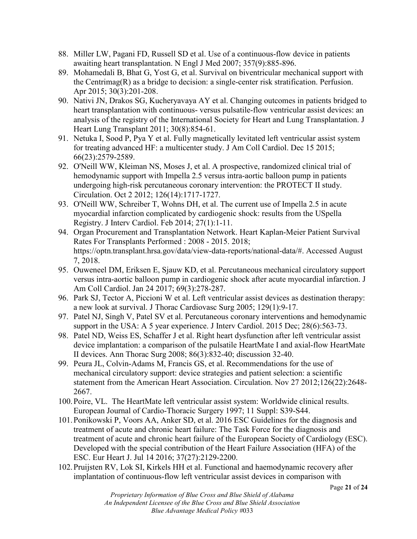- 88. Miller LW, Pagani FD, Russell SD et al. Use of a continuous-flow device in patients awaiting heart transplantation. N Engl J Med 2007; 357(9):885-896.
- 89. Mohamedali B, Bhat G, Yost G, et al. Survival on biventricular mechanical support with the Centrimag(R) as a bridge to decision: a single-center risk stratification. Perfusion. Apr 2015; 30(3):201-208.
- 90. Nativi JN, Drakos SG, Kucheryavaya AY et al. Changing outcomes in patients bridged to heart transplantation with continuous- versus pulsatile-flow ventricular assist devices: an analysis of the registry of the International Society for Heart and Lung Transplantation. J Heart Lung Transplant 2011; 30(8):854-61.
- 91. Netuka I, Sood P, Pya Y et al. Fully magnetically levitated left ventricular assist system for treating advanced HF: a multicenter study. J Am Coll Cardiol. Dec 15 2015; 66(23):2579-2589.
- 92. O'Neill WW, Kleiman NS, Moses J, et al. A prospective, randomized clinical trial of hemodynamic support with Impella 2.5 versus intra-aortic balloon pump in patients undergoing high-risk percutaneous coronary intervention: the PROTECT II study. Circulation. Oct 2 2012; 126(14):1717-1727.
- 93. O'Neill WW, Schreiber T, Wohns DH, et al. The current use of Impella 2.5 in acute myocardial infarction complicated by cardiogenic shock: results from the USpella Registry. J Interv Cardiol. Feb 2014; 27(1):1-11.
- 94. Organ Procurement and Transplantation Network. Heart Kaplan-Meier Patient Survival Rates For Transplants Performed : 2008 - 2015. 2018; https://optn.transplant.hrsa.gov/data/view-data-reports/national-data/#. Accessed August 7, 2018.
- 95. Ouweneel DM, Eriksen E, Sjauw KD, et al. Percutaneous mechanical circulatory support versus intra-aortic balloon pump in cardiogenic shock after acute myocardial infarction. J Am Coll Cardiol. Jan 24 2017; 69(3):278-287.
- 96. Park SJ, Tector A, Piccioni W et al. Left ventricular assist devices as destination therapy: a new look at survival. J Thorac Cardiovasc Surg 2005; 129(1):9-17.
- 97. Patel NJ, Singh V, Patel SV et al. Percutaneous coronary interventions and hemodynamic support in the USA: A 5 year experience. J Interv Cardiol. 2015 Dec; 28(6):563-73.
- 98. Patel ND, Weiss ES, Schaffer J et al. Right heart dysfunction after left ventricular assist device implantation: a comparison of the pulsatile HeartMate I and axial-flow HeartMate II devices. Ann Thorac Surg 2008; 86(3):832-40; discussion 32-40.
- 99. Peura JL, Colvin-Adams M, Francis GS, et al. Recommendations for the use of mechanical circulatory support: device strategies and patient selection: a scientific statement from the American Heart Association. Circulation. Nov 27 2012;126(22):2648- 2667.
- 100.Poire, VL. The HeartMate left ventricular assist system: Worldwide clinical results. European Journal of Cardio-Thoracic Surgery 1997; 11 Suppl: S39-S44.
- 101.Ponikowski P, Voors AA, Anker SD, et al. 2016 ESC Guidelines for the diagnosis and treatment of acute and chronic heart failure: The Task Force for the diagnosis and treatment of acute and chronic heart failure of the European Society of Cardiology (ESC). Developed with the special contribution of the Heart Failure Association (HFA) of the ESC. Eur Heart J. Jul 14 2016; 37(27):2129-2200.
- 102.Pruijsten RV, Lok SI, Kirkels HH et al. Functional and haemodynamic recovery after implantation of continuous-flow left ventricular assist devices in comparison with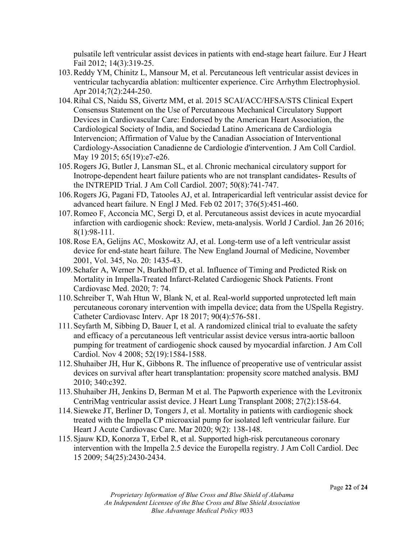pulsatile left ventricular assist devices in patients with end-stage heart failure. Eur J Heart Fail 2012; 14(3):319-25.

- 103.Reddy YM, Chinitz L, Mansour M, et al. Percutaneous left ventricular assist devices in ventricular tachycardia ablation: multicenter experience. Circ Arrhythm Electrophysiol. Apr 2014;7(2):244-250.
- 104.Rihal CS, Naidu SS, Givertz MM, et al. 2015 SCAI/ACC/HFSA/STS Clinical Expert Consensus Statement on the Use of Percutaneous Mechanical Circulatory Support Devices in Cardiovascular Care: Endorsed by the American Heart Association, the Cardiological Society of India, and Sociedad Latino Americana de Cardiologia Intervencion; Affirmation of Value by the Canadian Association of Interventional Cardiology-Association Canadienne de Cardiologie d'intervention. J Am Coll Cardiol. May 19 2015; 65(19):e7-e26.
- 105.Rogers JG, Butler J, Lansman SL, et al. Chronic mechanical circulatory support for Inotrope-dependent heart failure patients who are not transplant candidates- Results of the INTREPID Trial. J Am Coll Cardiol. 2007; 50(8):741-747.
- 106.Rogers JG, Pagani FD, Tatooles AJ, et al. Intrapericardial left ventricular assist device for advanced heart failure. N Engl J Med. Feb 02 2017; 376(5):451-460.
- 107.Romeo F, Acconcia MC, Sergi D, et al. Percutaneous assist devices in acute myocardial infarction with cardiogenic shock: Review, meta-analysis. World J Cardiol. Jan 26 2016; 8(1):98-111.
- 108.Rose EA, Gelijns AC, Moskowitz AJ, et al. Long-term use of a left ventricular assist device for end-state heart failure. The New England Journal of Medicine, November 2001, Vol. 345, No. 20: 1435-43.
- 109.Schafer A, Werner N, Burkhoff D, et al. Influence of Timing and Predicted Risk on Mortality in Impella-Treated Infarct-Related Cardiogenic Shock Patients. Front Cardiovasc Med. 2020; 7: 74.
- 110.Schreiber T, Wah Htun W, Blank N, et al. Real-world supported unprotected left main percutaneous coronary intervention with impella device; data from the USpella Registry. Catheter Cardiovasc Interv. Apr 18 2017; 90(4):576-581.
- 111.Seyfarth M, Sibbing D, Bauer I, et al. A randomized clinical trial to evaluate the safety and efficacy of a percutaneous left ventricular assist device versus intra-aortic balloon pumping for treatment of cardiogenic shock caused by myocardial infarction. J Am Coll Cardiol. Nov 4 2008; 52(19):1584-1588.
- 112.Shuhaiber JH, Hur K, Gibbons R. The influence of preoperative use of ventricular assist devices on survival after heart transplantation: propensity score matched analysis. BMJ 2010; 340:c392.
- 113.Shuhaiber JH, Jenkins D, Berman M et al. The Papworth experience with the Levitronix CentriMag ventricular assist device. J Heart Lung Transplant 2008; 27(2):158-64.
- 114.Sieweke JT, Berliner D, Tongers J, et al. Mortality in patients with cardiogenic shock treated with the Impella CP microaxial pump for isolated left ventricular failure. Eur Heart J Acute Cardiovasc Care. Mar 2020; 9(2): 138-148.
- 115.Sjauw KD, Konorza T, Erbel R, et al. Supported high-risk percutaneous coronary intervention with the Impella 2.5 device the Europella registry. J Am Coll Cardiol. Dec 15 2009; 54(25):2430-2434.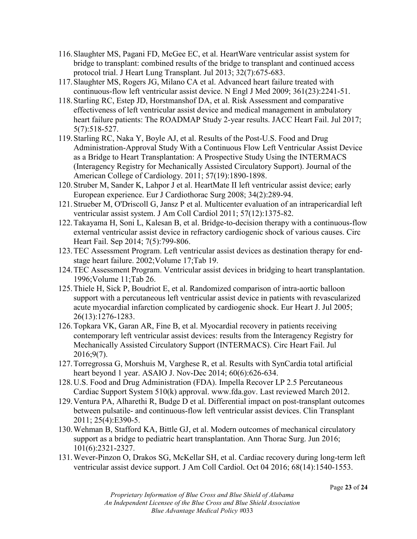- 116.Slaughter MS, Pagani FD, McGee EC, et al. HeartWare ventricular assist system for bridge to transplant: combined results of the bridge to transplant and continued access protocol trial. J Heart Lung Transplant. Jul 2013; 32(7):675-683.
- 117.Slaughter MS, Rogers JG, Milano CA et al. Advanced heart failure treated with continuous-flow left ventricular assist device. N Engl J Med 2009; 361(23):2241-51.
- 118.Starling RC, Estep JD, Horstmanshof DA, et al. Risk Assessment and comparative effectiveness of left ventricular assist device and medical management in ambulatory heart failure patients: The ROADMAP Study 2-year results. JACC Heart Fail. Jul 2017; 5(7):518-527.
- 119.Starling RC, Naka Y, Boyle AJ, et al. Results of the Post-U.S. Food and Drug Administration-Approval Study With a Continuous Flow Left Ventricular Assist Device as a Bridge to Heart Transplantation: A Prospective Study Using the INTERMACS (Interagency Registry for Mechanically Assisted Circulatory Support). Journal of the American College of Cardiology. 2011; 57(19):1890-1898.
- 120.Struber M, Sander K, Lahpor J et al. HeartMate II left ventricular assist device; early European experience. Eur J Cardiothorac Surg 2008; 34(2):289-94.
- 121.Strueber M, O'Driscoll G, Jansz P et al. Multicenter evaluation of an intrapericardial left ventricular assist system. J Am Coll Cardiol 2011; 57(12):1375-82.
- 122.Takayama H, Soni L, Kalesan B, et al. Bridge-to-decision therapy with a continuous-flow external ventricular assist device in refractory cardiogenic shock of various causes. Circ Heart Fail. Sep 2014; 7(5):799-806.
- 123.TEC Assessment Program. Left ventricular assist devices as destination therapy for endstage heart failure. 2002;Volume 17;Tab 19.
- 124.TEC Assessment Program. Ventricular assist devices in bridging to heart transplantation. 1996;Volume 11;Tab 26.
- 125.Thiele H, Sick P, Boudriot E, et al. Randomized comparison of intra-aortic balloon support with a percutaneous left ventricular assist device in patients with revascularized acute myocardial infarction complicated by cardiogenic shock. Eur Heart J. Jul 2005; 26(13):1276-1283.
- 126.Topkara VK, Garan AR, Fine B, et al. Myocardial recovery in patients receiving contemporary left ventricular assist devices: results from the Interagency Registry for Mechanically Assisted Circulatory Support (INTERMACS). Circ Heart Fail. Jul 2016;9(7).
- 127.Torregrossa G, Morshuis M, Varghese R, et al. Results with SynCardia total artificial heart beyond 1 year. ASAIO J. Nov-Dec 2014; 60(6):626-634.
- 128.U.S. Food and Drug Administration (FDA). Impella Recover LP 2.5 Percutaneous Cardiac Support System 510(k) approval. www.fda.gov. Last reviewed March 2012.
- 129.Ventura PA, Alharethi R, Budge D et al. Differential impact on post-transplant outcomes between pulsatile- and continuous-flow left ventricular assist devices. Clin Transplant 2011; 25(4):E390-5.
- 130.Wehman B, Stafford KA, Bittle GJ, et al. Modern outcomes of mechanical circulatory support as a bridge to pediatric heart transplantation. Ann Thorac Surg. Jun 2016; 101(6):2321-2327.
- 131.Wever-Pinzon O, Drakos SG, McKellar SH, et al. Cardiac recovery during long-term left ventricular assist device support. J Am Coll Cardiol. Oct 04 2016; 68(14):1540-1553.